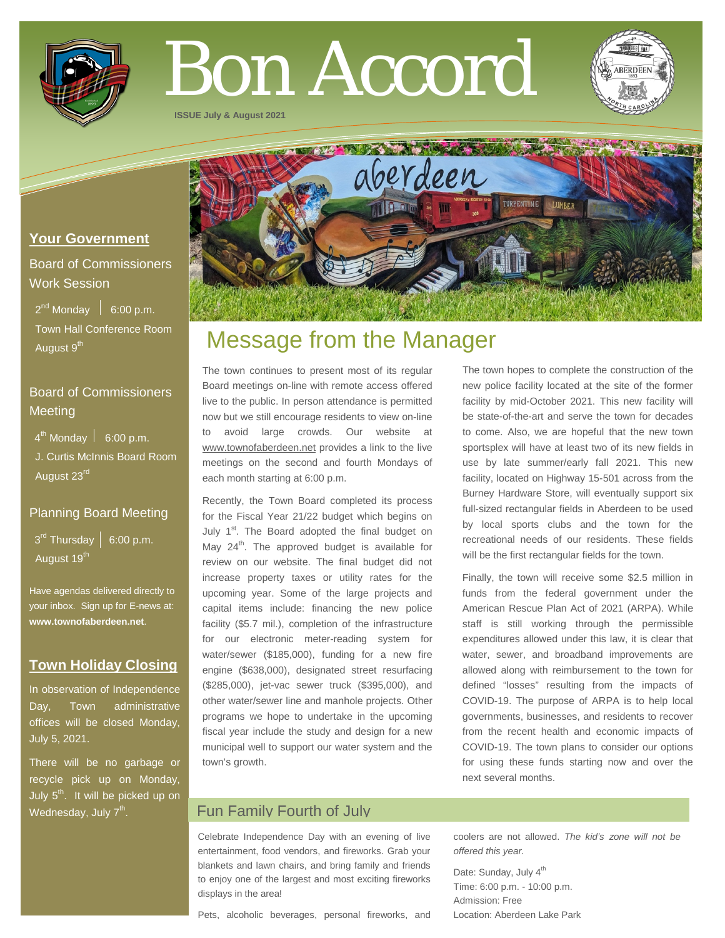

# Bon Accord

**ISSUE July & August 2021**



# **Your Government**

Board of Commissioners Work Session

 $2^{nd}$  Monday  $\left| 6:00 \text{ p.m.} \right|$  Town Hall Conference Room August 9<sup>th</sup>

# Board of Commissioners **Meeting**

 $4^{\text{th}}$  Monday  $\vert$  6:00 p.m.

 J. Curtis McInnis Board Room August 23rd

# Planning Board Meeting

 $3<sup>rd</sup>$  Thursday  $\vert 6:00$  p.m. August 19<sup>th</sup>

Have agendas delivered directly to your inbox. Sign up for E-news at: **[www.townofaberdeen.net](http://www.townofaberdeen.net/)**.

# **Town Holiday Closing**

In observation of Independence Day, Town administrative offices will be closed Monday, July 5, 2021.

There will be no garbage or recycle pick up on Monday, July  $5<sup>th</sup>$ . It will be picked up on Wednesday, July 7<sup>th</sup>.

# Message from the Manager

The town continues to present most of its regular Board meetings on-line with remote access offered live to the public. In person attendance is permitted now but we still encourage residents to view on-line to avoid large crowds. Our website at www.townofaberdeen.net provides a link to the live meetings on the second and fourth Mondays of each month starting at 6:00 p.m.

Recently, the Town Board completed its process for the Fiscal Year 21/22 budget which begins on July 1<sup>st</sup>. The Board adopted the final budget on May  $24<sup>th</sup>$ . The approved budget is available for review on our website. The final budget did not increase property taxes or utility rates for the upcoming year. Some of the large projects and capital items include: financing the new police facility (\$5.7 mil.), completion of the infrastructure for our electronic meter-reading system for water/sewer (\$185,000), funding for a new fire engine (\$638,000), designated street resurfacing (\$285,000), jet-vac sewer truck (\$395,000), and other water/sewer line and manhole projects. Other programs we hope to undertake in the upcoming fiscal year include the study and design for a new municipal well to support our water system and the town's growth.

The town hopes to complete the construction of the new police facility located at the site of the former facility by mid-October 2021. This new facility will be state-of-the-art and serve the town for decades to come. Also, we are hopeful that the new town sportsplex will have at least two of its new fields in use by late summer/early fall 2021. This new facility, located on Highway 15-501 across from the Burney Hardware Store, will eventually support six full-sized rectangular fields in Aberdeen to be used by local sports clubs and the town for the recreational needs of our residents. These fields will be the first rectangular fields for the town.

Finally, the town will receive some \$2.5 million in funds from the federal government under the American Rescue Plan Act of 2021 (ARPA). While staff is still working through the permissible expenditures allowed under this law, it is clear that water, sewer, and broadband improvements are allowed along with reimbursement to the town for defined "losses" resulting from the impacts of COVID-19. The purpose of ARPA is to help local governments, businesses, and residents to recover from the recent health and economic impacts of COVID-19. The town plans to consider our options for using these funds starting now and over the next several months.

# Fun Family Fourth of July

Celebrate Independence Day with an evening of live entertainment, food vendors, and fireworks. Grab your blankets and lawn chairs, and bring family and friends to enjoy one of the largest and most exciting fireworks displays in the area!

coolers are not allowed. *The kid's zone will not be offered this year.*

Date: Sunday, July 4<sup>th</sup> Time: 6:00 p.m. - 10:00 p.m. Admission: Free Location: Aberdeen Lake Park

Pets, alcoholic beverages, personal fireworks, and